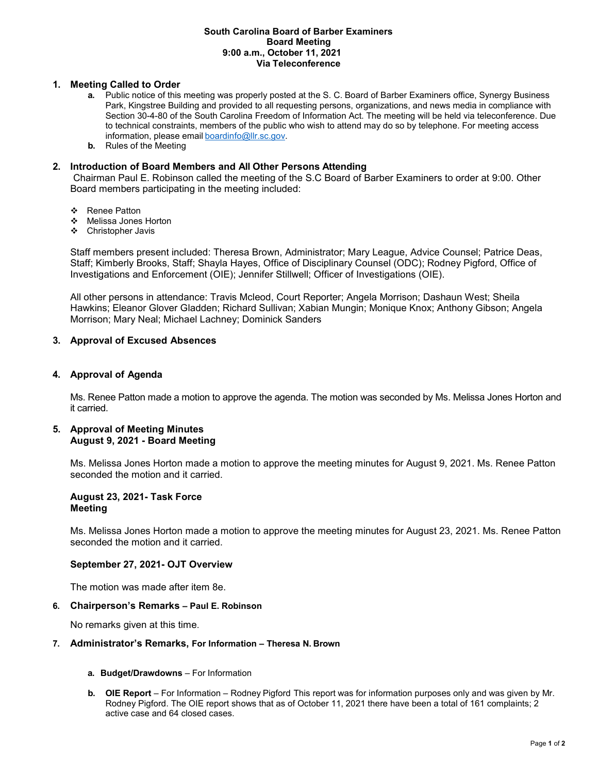#### **South Carolina Board of Barber Examiners Board Meeting 9:00 a.m., October 11, 2021 Via Teleconference**

# **1. Meeting Called to Order**

- **a.** Public notice of this meeting was properly posted at the S. C. Board of Barber Examiners office, Synergy Business Park, Kingstree Building and provided to all requesting persons, organizations, and news media in compliance with Section 30-4-80 of the South Carolina Freedom of Information Act. The meeting will be held via teleconference. Due to technical constraints, members of the public who wish to attend may do so by telephone. For meeting access information, please email [boardinfo@llr.sc.gov.](mailto:boardinfo@llr.sc.gov)
- **b.** Rules of the Meeting

### **2. Introduction of Board Members and All Other Persons Attending**

Chairman Paul E. Robinson called the meeting of the S.C Board of Barber Examiners to order at 9:00. Other Board members participating in the meeting included:

- ❖ Renee Patton
- Melissa Jones Horton
- Christopher Javis

Staff members present included: Theresa Brown, Administrator; Mary League, Advice Counsel; Patrice Deas, Staff; Kimberly Brooks, Staff; Shayla Hayes, Office of Disciplinary Counsel (ODC); Rodney Pigford, Office of Investigations and Enforcement (OIE); Jennifer Stillwell; Officer of Investigations (OIE).

All other persons in attendance: Travis Mcleod, Court Reporter; Angela Morrison; Dashaun West; Sheila Hawkins; Eleanor Glover Gladden; Richard Sullivan; Xabian Mungin; Monique Knox; Anthony Gibson; Angela Morrison; Mary Neal; Michael Lachney; Dominick Sanders

### **3. Approval of Excused Absences**

### **4. Approval of Agenda**

Ms. Renee Patton made a motion to approve the agenda. The motion was seconded by Ms. Melissa Jones Horton and it carried.

### **5. Approval of Meeting Minutes August 9, 2021 - Board Meeting**

Ms. Melissa Jones Horton made a motion to approve the meeting minutes for August 9, 2021. Ms. Renee Patton seconded the motion and it carried.

#### **August 23, 2021- Task Force Meeting**

Ms. Melissa Jones Horton made a motion to approve the meeting minutes for August 23, 2021. Ms. Renee Patton seconded the motion and it carried.

#### **September 27, 2021- OJT Overview**

The motion was made after item 8e.

#### **6. Chairperson's Remarks – Paul E. Robinson**

No remarks given at this time.

# **7. Administrator's Remarks, For Information – Theresa N. Brown**

- **a. Budget/Drawdowns**  For Information
- **b. OIE Report**  For Information Rodney Pigford This report was for information purposes only and was given by Mr. Rodney Pigford. The OIE report shows that as of October 11, 2021 there have been a total of 161 complaints; 2 active case and 64 closed cases.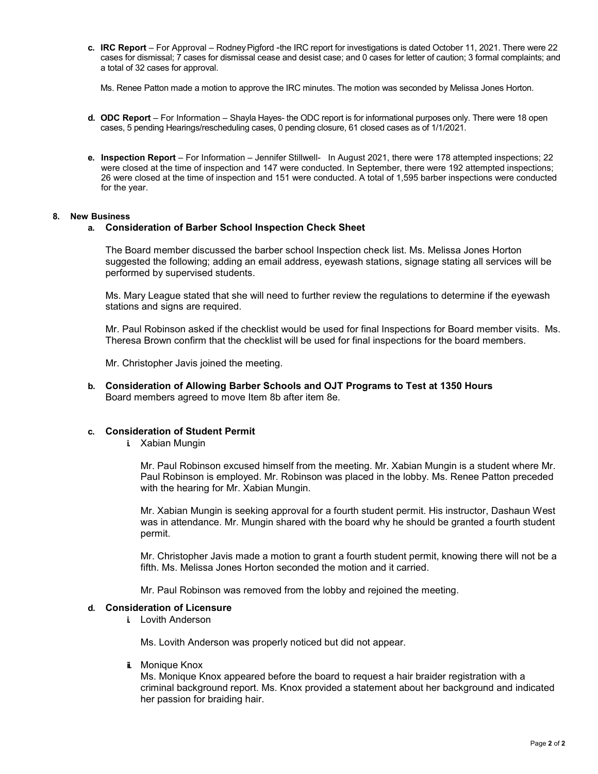**c. IRC Report** – For Approval – Rodney Pigford -the IRC report for investigations is dated October 11, 2021. There were 22 cases for dismissal; 7 cases for dismissal cease and desist case; and 0 cases for letter of caution; 3 formal complaints; and a total of 32 cases for approval.

Ms. Renee Patton made a motion to approve the IRC minutes. The motion was seconded by Melissa Jones Horton.

- **d. ODC Report**  For Information Shayla Hayes- the ODC report is for informational purposes only. There were 18 open cases, 5 pending Hearings/rescheduling cases, 0 pending closure, 61 closed cases as of 1/1/2021.
- **e. Inspection Report**  For Information Jennifer Stillwell- In August 2021, there were 178 attempted inspections; 22 were closed at the time of inspection and 147 were conducted. In September, there were 192 attempted inspections; 26 were closed at the time of inspection and 151 were conducted. A total of 1,595 barber inspections were conducted for the year.

#### **8. New Business**

### **a. Consideration of Barber School Inspection Check Sheet**

The Board member discussed the barber school Inspection check list. Ms. Melissa Jones Horton suggested the following; adding an email address, eyewash stations, signage stating all services will be performed by supervised students.

Ms. Mary League stated that she will need to further review the regulations to determine if the eyewash stations and signs are required.

Mr. Paul Robinson asked if the checklist would be used for final Inspections for Board member visits. Ms. Theresa Brown confirm that the checklist will be used for final inspections for the board members.

Mr. Christopher Javis joined the meeting.

**b. Consideration of Allowing Barber Schools and OJT Programs to Test at 1350 Hours** Board members agreed to move Item 8b after item 8e.

# **c. Consideration of Student Permit**

**i.** Xabian Mungin

Mr. Paul Robinson excused himself from the meeting. Mr. Xabian Mungin is a student where Mr. Paul Robinson is employed. Mr. Robinson was placed in the lobby. Ms. Renee Patton preceded with the hearing for Mr. Xabian Mungin.

Mr. Xabian Mungin is seeking approval for a fourth student permit. His instructor, Dashaun West was in attendance. Mr. Mungin shared with the board why he should be granted a fourth student permit.

Mr. Christopher Javis made a motion to grant a fourth student permit, knowing there will not be a fifth. Ms. Melissa Jones Horton seconded the motion and it carried.

Mr. Paul Robinson was removed from the lobby and rejoined the meeting.

#### **d. Consideration of Licensure**

**i.** Lovith Anderson

Ms. Lovith Anderson was properly noticed but did not appear.

**ii.** Monique Knox

Ms. Monique Knox appeared before the board to request a hair braider registration with a criminal background report. Ms. Knox provided a statement about her background and indicated her passion for braiding hair.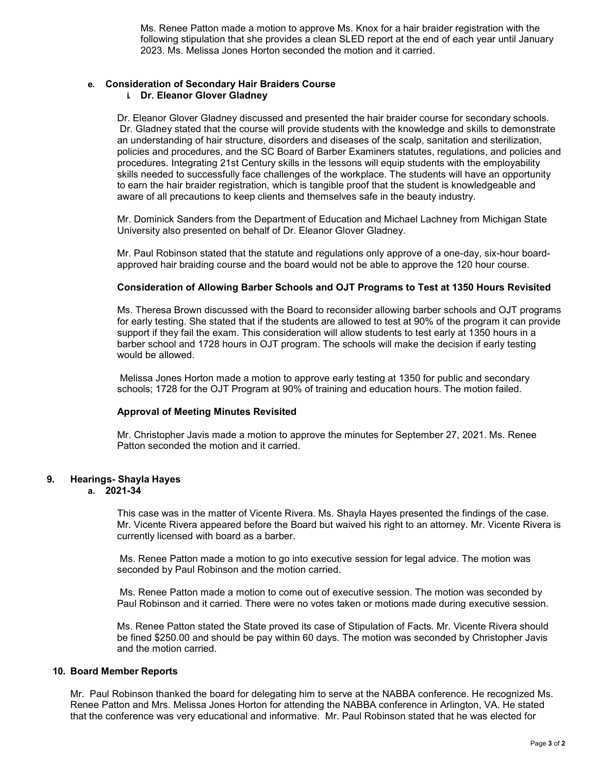Ms. Renee Patton made a motion to approve Ms. Knox for a hair braider registration with the following stipulation that she provides a clean SLED report at the end of each year until January 2023. Ms. Melissa Jones Horton seconded the motion and it carried.

# **e. Consideration of Secondary Hair Braiders Course**

# **i. Dr. Eleanor Glover Gladney**

Dr. Eleanor Glover Gladney discussed and presented the hair braider course for secondary schools. Dr. Gladney stated that the course will provide students with the knowledge and skills to demonstrate an understanding of hair structure, disorders and diseases of the scalp, sanitation and sterilization, policies and procedures, and the SC Board of Barber Examiners statutes, regulations, and policies and procedures. Integrating 21st Century skills in the lessons will equip students with the employability skills needed to successfully face challenges of the workplace. The students will have an opportunity to earn the hair braider registration, which is tangible proof that the student is knowledgeable and aware of all precautions to keep clients and themselves safe in the beauty industry.

Mr. Dominick Sanders from the Department of Education and Michael Lachney from Michigan State University also presented on behalf of Dr. Eleanor Glover Gladney.

Mr. Paul Robinson stated that the statute and regulations only approve of a one-day, six-hour boardapproved hair braiding course and the board would not be able to approve the 120 hour course.

# **Consideration of Allowing Barber Schools and OJT Programs to Test at 1350 Hours Revisited**

Ms. Theresa Brown discussed with the Board to reconsider allowing barber schools and OJT programs for early testing. She stated that if the students are allowed to test at 90% of the program it can provide support if they fail the exam. This consideration will allow students to test early at 1350 hours in a barber school and 1728 hours in OJT program. The schools will make the decision if early testing would be allowed.

Melissa Jones Horton made a motion to approve early testing at 1350 for public and secondary schools; 1728 for the OJT Program at 90% of training and education hours. The motion failed.

# **Approval of Meeting Minutes Revisited**

Mr. Christopher Javis made a motion to approve the minutes for September 27, 2021. Ms. Renee Patton seconded the motion and it carried.

# **9. Hearings- Shayla Hayes**

### **a. 2021-34**

This case was in the matter of Vicente Rivera. Ms. Shayla Hayes presented the findings of the case. Mr. Vicente Rivera appeared before the Board but waived his right to an attorney. Mr. Vicente Rivera is currently licensed with board as a barber.

Ms. Renee Patton made a motion to go into executive session for legal advice. The motion was seconded by Paul Robinson and the motion carried.

Ms. Renee Patton made a motion to come out of executive session. The motion was seconded by Paul Robinson and it carried. There were no votes taken or motions made during executive session.

Ms. Renee Patton stated the State proved its case of Stipulation of Facts. Mr. Vicente Rivera should be fined \$250.00 and should be pay within 60 days. The motion was seconded by Christopher Javis and the motion carried.

# **10. Board Member Reports**

Mr. Paul Robinson thanked the board for delegating him to serve at the NABBA conference. He recognized Ms. Renee Patton and Mrs. Melissa Jones Horton for attending the NABBA conference in Arlington, VA. He stated that the conference was very educational and informative. Mr. Paul Robinson stated that he was elected for